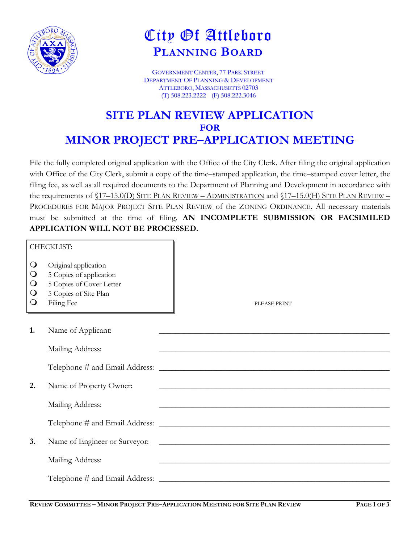

## City Of Attleboro **PLANNING BOARD**

GOVERNMENT CENTER, 77 PARK STREET DEPARTMENT OF PLANNING & DEVELOPMENT ATTLEBORO, MASSACHUSETTS 02703 (T) 508.223.2222 (F) 508.222.3046

## **SITE PLAN REVIEW APPLICATION FOR MINOR PROJECT PRE–APPLICATION MEETING**

File the fully completed original application with the Office of the City Clerk. After filing the original application with Office of the City Clerk, submit a copy of the time–stamped application, the time–stamped cover letter, the filing fee, as well as all required documents to the Department of Planning and Development in accordance with the requirements of  $(17-15.0(D)$  SITE PLAN REVIEW – ADMINISTRATION and  $(17-15.0(H)$  SITE PLAN REVIEW – PROCEDURES FOR MAJOR PROJECT SITE PLAN REVIEW of the ZONING ORDINANCE. All necessary materials must be submitted at the time of filing. **AN INCOMPLETE SUBMISSION OR FACSIMILED APPLICATION WILL NOT BE PROCESSED.**

| CHECKLIST:                                                           |                                                                                                                    |                                                                                                                                                                                                                                      |
|----------------------------------------------------------------------|--------------------------------------------------------------------------------------------------------------------|--------------------------------------------------------------------------------------------------------------------------------------------------------------------------------------------------------------------------------------|
| $\bigcirc$<br>$\bigcirc$<br>$\mathsf{O}$<br>$\bigcirc$<br>$\bigcirc$ | Original application<br>5 Copies of application<br>5 Copies of Cover Letter<br>5 Copies of Site Plan<br>Filing Fee | PLEASE PRINT                                                                                                                                                                                                                         |
| 1.                                                                   | Name of Applicant:                                                                                                 |                                                                                                                                                                                                                                      |
|                                                                      | Mailing Address:                                                                                                   |                                                                                                                                                                                                                                      |
|                                                                      |                                                                                                                    |                                                                                                                                                                                                                                      |
| 2.                                                                   | Name of Property Owner:                                                                                            | <u> 1989 - Johann Barbara, margaret eta idazlea (h. 1989).</u>                                                                                                                                                                       |
|                                                                      | Mailing Address:                                                                                                   | <u> 1989 - Johann Stoff, amerikansk politiker (d. 1989)</u>                                                                                                                                                                          |
|                                                                      |                                                                                                                    |                                                                                                                                                                                                                                      |
| 3.                                                                   | Name of Engineer or Surveyor:                                                                                      | <u> 1989 - Johann Harry Harry Harry Harry Harry Harry Harry Harry Harry Harry Harry Harry Harry Harry Harry Harry Harry Harry Harry Harry Harry Harry Harry Harry Harry Harry Harry Harry Harry Harry Harry Harry Harry Harry Ha</u> |
|                                                                      | Mailing Address:                                                                                                   |                                                                                                                                                                                                                                      |
|                                                                      |                                                                                                                    |                                                                                                                                                                                                                                      |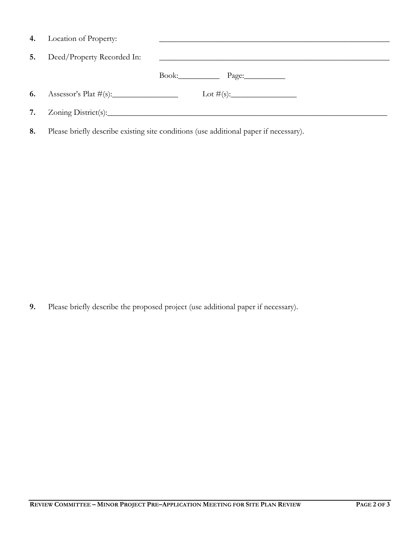|    | 4. Location of Property:   |                                                                                       |
|----|----------------------------|---------------------------------------------------------------------------------------|
| 5. | Deed/Property Recorded In: |                                                                                       |
|    |                            | Book: Page:                                                                           |
|    |                            |                                                                                       |
|    |                            |                                                                                       |
| 8. |                            | Please briefly describe existing site conditions (use additional paper if necessary). |

**9.** Please briefly describe the proposed project (use additional paper if necessary).